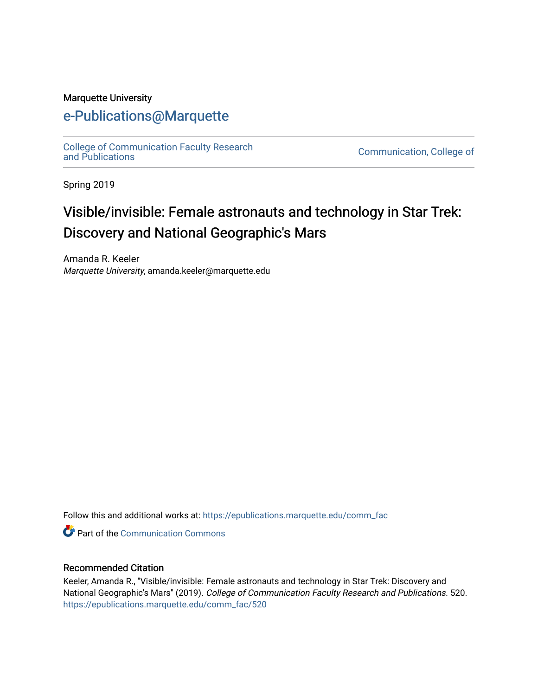#### Marquette University

### [e-Publications@Marquette](https://epublications.marquette.edu/)

[College of Communication Faculty Research](https://epublications.marquette.edu/comm_fac)<br>and Publications

Communication, College of

Spring 2019

# Visible/invisible: Female astronauts and technology in Star Trek: Discovery and National Geographic's Mars

Amanda R. Keeler Marquette University, amanda.keeler@marquette.edu

Follow this and additional works at: [https://epublications.marquette.edu/comm\\_fac](https://epublications.marquette.edu/comm_fac?utm_source=epublications.marquette.edu%2Fcomm_fac%2F520&utm_medium=PDF&utm_campaign=PDFCoverPages) 

**C** Part of the Communication Commons

#### Recommended Citation

Keeler, Amanda R., "Visible/invisible: Female astronauts and technology in Star Trek: Discovery and National Geographic's Mars" (2019). College of Communication Faculty Research and Publications. 520. [https://epublications.marquette.edu/comm\\_fac/520](https://epublications.marquette.edu/comm_fac/520?utm_source=epublications.marquette.edu%2Fcomm_fac%2F520&utm_medium=PDF&utm_campaign=PDFCoverPages)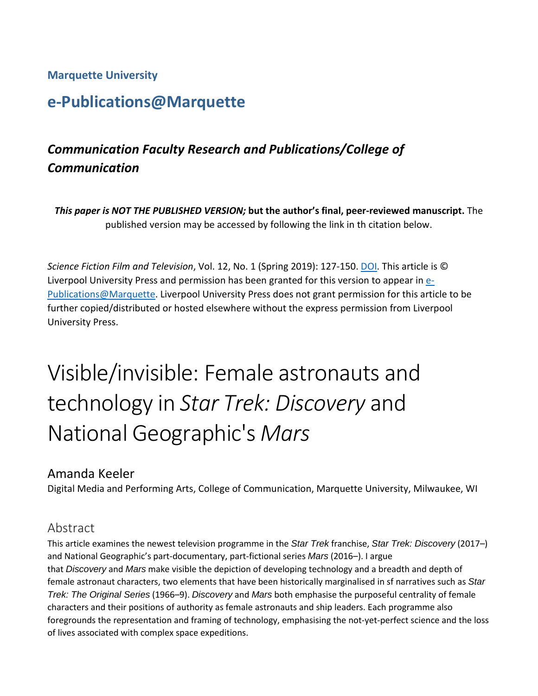#### **Marquette University**

# **e-Publications@Marquette**

## *Communication Faculty Research and Publications/College of Communication*

*This paper is NOT THE PUBLISHED VERSION;* **but the author's final, peer-reviewed manuscript.** The published version may be accessed by following the link in th citation below.

*Science Fiction Film and Television*, Vol. 12, No. 1 (Spring 2019): 127-150[. DOI.](https://doi.org/10.3828/sfftv.2019.07) This article is © Liverpool University Press and permission has been granted for this version to appear i[n e-](http://epublications.marquette.edu/)[Publications@Marquette.](http://epublications.marquette.edu/) Liverpool University Press does not grant permission for this article to be further copied/distributed or hosted elsewhere without the express permission from Liverpool University Press.

# Visible/invisible: Female astronauts and technology in *Star Trek: Discovery* and National Geographic's *Mars*

#### Amanda Keeler

Digital Media and Performing Arts, College of Communication, Marquette University, Milwaukee, WI

#### Abstract

This article examines the newest television programme in the *Star Trek* franchise, *Star Trek: Discovery* (2017–) and National Geographic's part-documentary, part-fictional series *Mars* (2016–). I argue that *Discovery* and *Mars* make visible the depiction of developing technology and a breadth and depth of female astronaut characters, two elements that have been historically marginalised in sf narratives such as *Star Trek: The Original Series* (1966–9). *Discovery* and *Mars* both emphasise the purposeful centrality of female characters and their positions of authority as female astronauts and ship leaders. Each programme also foregrounds the representation and framing of technology, emphasising the not-yet-perfect science and the loss of lives associated with complex space expeditions.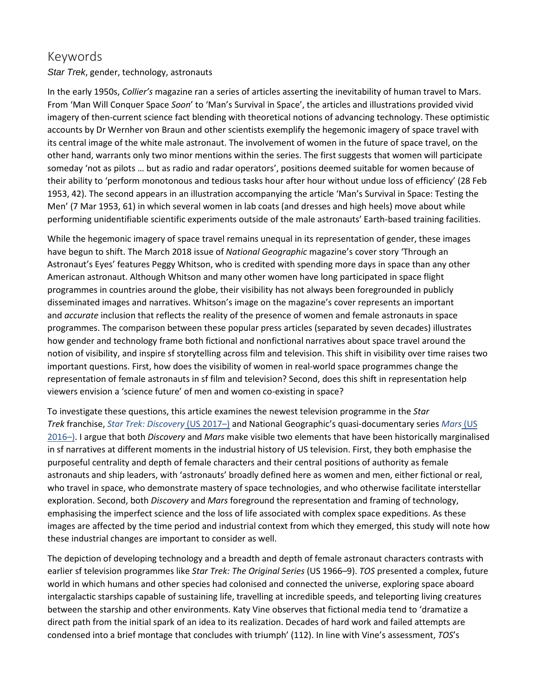#### Keywords

*Star Trek*, gender, technology, astronauts

In the early 1950s, *Collier's* magazine ran a series of articles asserting the inevitability of human travel to Mars. From 'Man Will Conquer Space *Soon*' to 'Man's Survival in Space', the articles and illustrations provided vivid imagery of then-current science fact blending with theoretical notions of advancing technology. These optimistic accounts by Dr Wernher von Braun and other scientists exemplify the hegemonic imagery of space travel with its central image of the white male astronaut. The involvement of women in the future of space travel, on the other hand, warrants only two minor mentions within the series. The first suggests that women will participate someday 'not as pilots … but as radio and radar operators', positions deemed suitable for women because of their ability to 'perform monotonous and tedious tasks hour after hour without undue loss of efficiency' (28 Feb 1953, 42). The second appears in an illustration accompanying the article 'Man's Survival in Space: Testing the Men' (7 Mar 1953, 61) in which several women in lab coats (and dresses and high heels) move about while performing unidentifiable scientific experiments outside of the male astronauts' Earth-based training facilities.

While the hegemonic imagery of space travel remains unequal in its representation of gender, these images have begun to shift. The March 2018 issue of *National Geographic* magazine's cover story 'Through an Astronaut's Eyes' features Peggy Whitson, who is credited with spending more days in space than any other American astronaut. Although Whitson and many other women have long participated in space flight programmes in countries around the globe, their visibility has not always been foregrounded in publicly disseminated images and narratives. Whitson's image on the magazine's cover represents an important and *accurate* inclusion that reflects the reality of the presence of women and female astronauts in space programmes. The comparison between these popular press articles (separated by seven decades) illustrates how gender and technology frame both fictional and nonfictional narratives about space travel around the notion of visibility, and inspire sf storytelling across film and television. This shift in visibility over time raises two important questions. First, how does the visibility of women in real-world space programmes change the representation of female astronauts in sf film and television? Second, does this shift in representation help viewers envision a 'science future' of men and women co-existing in space?

To investigate these questions, this article examines the newest television programme in the *Star Trek* franchise, *[Star Trek: Discovery](https://0-muse-jhu-edu.libus.csd.mu.edu/article/720351#b18)* (US 2017–) and National Geographic's quasi-documentary series *[Mars](https://0-muse-jhu-edu.libus.csd.mu.edu/article/720351#b16)* (US [2016–\).](https://0-muse-jhu-edu.libus.csd.mu.edu/article/720351#b16) I argue that both *Discovery* and *Mars* make visible two elements that have been historically marginalised in sf narratives at different moments in the industrial history of US television. First, they both emphasise the purposeful centrality and depth of female characters and their central positions of authority as female astronauts and ship leaders, with 'astronauts' broadly defined here as women and men, either fictional or real, who travel in space, who demonstrate mastery of space technologies, and who otherwise facilitate interstellar exploration. Second, both *Discovery* and *Mars* foreground the representation and framing of technology, emphasising the imperfect science and the loss of life associated with complex space expeditions. As these images are affected by the time period and industrial context from which they emerged, this study will note how these industrial changes are important to consider as well.

The depiction of developing technology and a breadth and depth of female astronaut characters contrasts with earlier sf television programmes like *Star Trek: The Original Series* (US 1966–9). *TOS* presented a complex, future world in which humans and other species had colonised and connected the universe, exploring space aboard intergalactic starships capable of sustaining life, travelling at incredible speeds, and teleporting living creatures between the starship and other environments. Katy Vine observes that fictional media tend to 'dramatize a direct path from the initial spark of an idea to its realization. Decades of hard work and failed attempts are condensed into a brief montage that concludes with triumph' (112). In line with Vine's assessment, *TOS*'s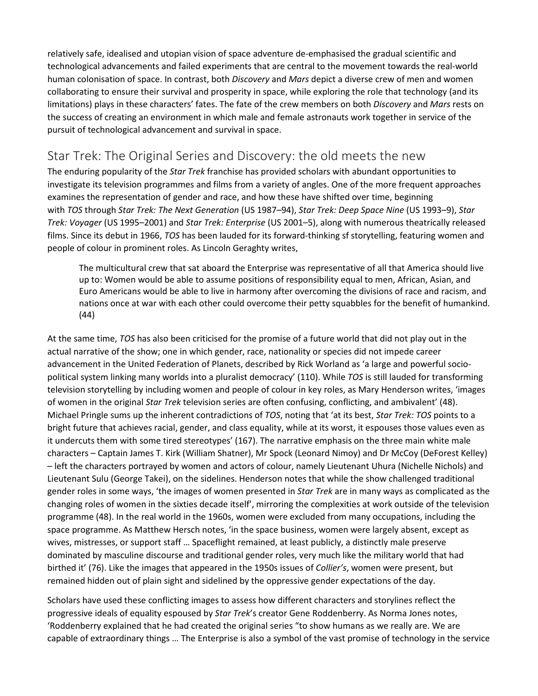relatively safe, idealised and utopian vision of space adventure de-emphasised the gradual scientific and technological advancements and failed experiments that are central to the movement towards the real-world human colonisation of space. In contrast, both *Discovery* and *Mars* depict a diverse crew of men and women collaborating to ensure their survival and prosperity in space, while exploring the role that technology (and its limitations) plays in these characters' fates. The fate of the crew members on both *Discovery* and *Mars* rests on the success of creating an environment in which male and female astronauts work together in service of the pursuit of technological advancement and survival in space.

#### Star Trek: The Original Series and Discovery: the old meets the new

The enduring popularity of the *Star Trek* franchise has provided scholars with abundant opportunities to investigate its television programmes and films from a variety of angles. One of the more frequent approaches examines the representation of gender and race, and how these have shifted over time, beginning with *TOS* through *Star Trek: The Next Generation* (US 1987–94), *Star Trek: Deep Space Nine* (US 1993–9), *Star Trek: Voyager* (US 1995–2001) and *Star Trek: Enterprise* (US 2001–5), along with numerous theatrically released films. Since its debut in 1966, *TOS* has been lauded for its forward-thinking sf storytelling, featuring women and people of colour in prominent roles. As Lincoln Geraghty writes,

The multicultural crew that sat aboard the Enterprise was representative of all that America should live up to: Women would be able to assume positions of responsibility equal to men, African, Asian, and Euro Americans would be able to live in harmony after overcoming the divisions of race and racism, and nations once at war with each other could overcome their petty squabbles for the benefit of humankind. (44)

At the same time, *TOS* has also been criticised for the promise of a future world that did not play out in the actual narrative of the show; one in which gender, race, nationality or species did not impede career advancement in the United Federation of Planets, described by Rick Worland as 'a large and powerful sociopolitical system linking many worlds into a pluralist democracy' (110). While *TOS* is still lauded for transforming television storytelling by including women and people of colour in key roles, as Mary Henderson writes, 'images of women in the original *Star Trek* television series are often confusing, conflicting, and ambivalent' (48). Michael Pringle sums up the inherent contradictions of *TOS*, noting that 'at its best, *Star Trek: TOS* points to a bright future that achieves racial, gender, and class equality, while at its worst, it espouses those values even as it undercuts them with some tired stereotypes' (167). The narrative emphasis on the three main white male characters – Captain James T. Kirk (William Shatner), Mr Spock (Leonard Nimoy) and Dr McCoy (DeForest Kelley) – left the characters portrayed by women and actors of colour, namely Lieutenant Uhura (Nichelle Nichols) and Lieutenant Sulu (George Takei), on the sidelines. Henderson notes that while the show challenged traditional gender roles in some ways, 'the images of women presented in *Star Trek* are in many ways as complicated as the changing roles of women in the sixties decade itself', mirroring the complexities at work outside of the television programme (48). In the real world in the 1960s, women were excluded from many occupations, including the space programme. As Matthew Hersch notes, 'in the space business, women were largely absent, except as wives, mistresses, or support staff … Spaceflight remained, at least publicly, a distinctly male preserve dominated by masculine discourse and traditional gender roles, very much like the military world that had birthed it' (76). Like the images that appeared in the 1950s issues of *Collier's*, women were present, but remained hidden out of plain sight and sidelined by the oppressive gender expectations of the day.

Scholars have used these conflicting images to assess how different characters and storylines reflect the progressive ideals of equality espoused by *Star Trek*'s creator Gene Roddenberry. As Norma Jones notes, 'Roddenberry explained that he had created the original series "to show humans as we really are. We are capable of extraordinary things … The Enterprise is also a symbol of the vast promise of technology in the service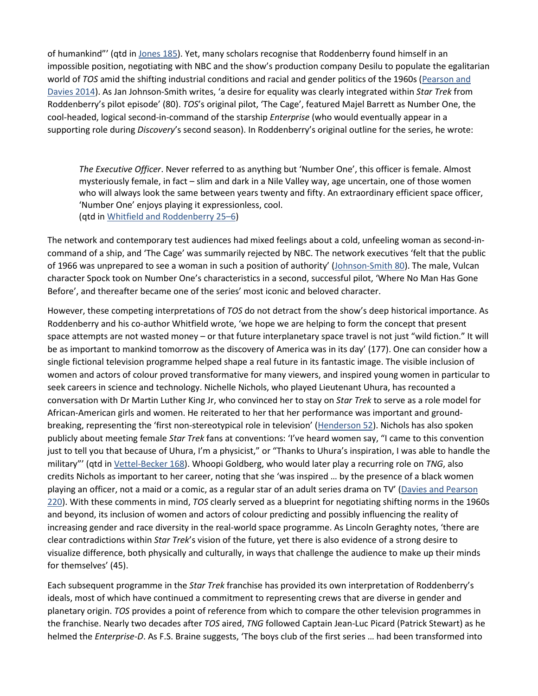of humankind"' (qtd in [Jones 185\)](https://0-muse-jhu-edu.libus.csd.mu.edu/article/720351#b11). Yet, many scholars recognise that Roddenberry found himself in an impossible position, negotiating with NBC and the show's production company Desilu to populate the egalitarian world of *TOS* amid the shifting industrial conditions and racial and gender politics of the 1960s [\(Pearson and](https://0-muse-jhu-edu.libus.csd.mu.edu/article/720351#b19)  [Davies 2014\)](https://0-muse-jhu-edu.libus.csd.mu.edu/article/720351#b19). As Jan Johnson-Smith writes, 'a desire for equality was clearly integrated within *Star Trek* from Roddenberry's pilot episode' (80). *TOS*'s original pilot, 'The Cage', featured Majel Barrett as Number One, the cool-headed, logical second-in-command of the starship *Enterprise* (who would eventually appear in a supporting role during *Discovery*'s second season). In Roddenberry's original outline for the series, he wrote:

*The Executive Officer*. Never referred to as anything but 'Number One', this officer is female. Almost mysteriously female, in fact – slim and dark in a Nile Valley way, age uncertain, one of those women who will always look the same between years twenty and fifty. An extraordinary efficient space officer, 'Number One' enjoys playing it expressionless, cool. (qtd in [Whitfield and Roddenberry 25–6\)](https://0-muse-jhu-edu.libus.csd.mu.edu/article/720351#b24)

The network and contemporary test audiences had mixed feelings about a cold, unfeeling woman as second-incommand of a ship, and 'The Cage' was summarily rejected by NBC. The network executives 'felt that the public of 1966 was unprepared to see a woman in such a position of authority' [\(Johnson-Smith 80\)](https://0-muse-jhu-edu.libus.csd.mu.edu/article/720351#b10). The male, Vulcan character Spock took on Number One's characteristics in a second, successful pilot, 'Where No Man Has Gone Before', and thereafter became one of the series' most iconic and beloved character.

However, these competing interpretations of *TOS* do not detract from the show's deep historical importance. As Roddenberry and his co-author Whitfield wrote, 'we hope we are helping to form the concept that present space attempts are not wasted money – or that future interplanetary space travel is not just "wild fiction." It will be as important to mankind tomorrow as the discovery of America was in its day' (177). One can consider how a single fictional television programme helped shape a real future in its fantastic image. The visible inclusion of women and actors of colour proved transformative for many viewers, and inspired young women in particular to seek careers in science and technology. Nichelle Nichols, who played Lieutenant Uhura, has recounted a conversation with Dr Martin Luther King Jr, who convinced her to stay on *Star Trek* to serve as a role model for African-American girls and women. He reiterated to her that her performance was important and groundbreaking, representing the 'first non-stereotypical role in television' [\(Henderson 52\)](https://0-muse-jhu-edu.libus.csd.mu.edu/article/720351#b7). Nichols has also spoken publicly about meeting female *Star Trek* fans at conventions: 'I've heard women say, "I came to this convention just to tell you that because of Uhura, I'm a physicist," or "Thanks to Uhura's inspiration, I was able to handle the military"' (qtd in [Vettel-Becker 168\)](https://0-muse-jhu-edu.libus.csd.mu.edu/article/720351#b22). Whoopi Goldberg, who would later play a recurring role on *TNG*, also credits Nichols as important to her career, noting that she 'was inspired … by the presence of a black women playing an officer, not a maid or a comic, as a regular star of an adult series drama on TV' [\(Davies and Pearson](https://0-muse-jhu-edu.libus.csd.mu.edu/article/720351#b4)  [220\)](https://0-muse-jhu-edu.libus.csd.mu.edu/article/720351#b4). With these comments in mind, *TOS* clearly served as a blueprint for negotiating shifting norms in the 1960s and beyond, its inclusion of women and actors of colour predicting and possibly influencing the reality of increasing gender and race diversity in the real-world space programme. As Lincoln Geraghty notes, 'there are clear contradictions within *Star Trek*'s vision of the future, yet there is also evidence of a strong desire to visualize difference, both physically and culturally, in ways that challenge the audience to make up their minds for themselves' (45).

Each subsequent programme in the *Star Trek* franchise has provided its own interpretation of Roddenberry's ideals, most of which have continued a commitment to representing crews that are diverse in gender and planetary origin. *TOS* provides a point of reference from which to compare the other television programmes in the franchise. Nearly two decades after *TOS* aired, *TNG* followed Captain Jean-Luc Picard (Patrick Stewart) as he helmed the *Enterprise-D*. As F.S. Braine suggests, 'The boys club of the first series … had been transformed into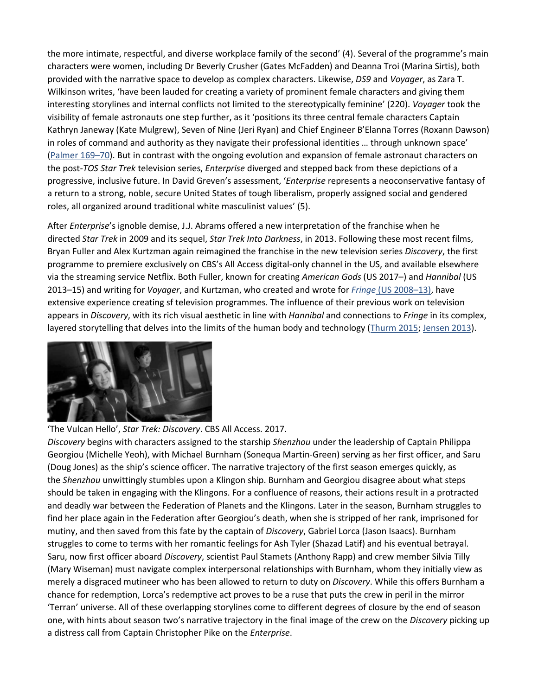the more intimate, respectful, and diverse workplace family of the second' (4). Several of the programme's main characters were women, including Dr Beverly Crusher (Gates McFadden) and Deanna Troi (Marina Sirtis), both provided with the narrative space to develop as complex characters. Likewise, *DS9* and *Voyager*, as Zara T. Wilkinson writes, 'have been lauded for creating a variety of prominent female characters and giving them interesting storylines and internal conflicts not limited to the stereotypically feminine' (220). *Voyager* took the visibility of female astronauts one step further, as it 'positions its three central female characters Captain Kathryn Janeway (Kate Mulgrew), Seven of Nine (Jeri Ryan) and Chief Engineer B'Elanna Torres (Roxann Dawson) in roles of command and authority as they navigate their professional identities … through unknown space' [\(Palmer 169–70\)](https://0-muse-jhu-edu.libus.csd.mu.edu/article/720351#b18). But in contrast with the ongoing evolution and expansion of female astronaut characters on the post-*TOS Star Trek* television series, *Enterprise* diverged and stepped back from these depictions of a progressive, inclusive future. In David Greven's assessment, '*Enterprise* represents a neoconservative fantasy of a return to a strong, noble, secure United States of tough liberalism, properly assigned social and gendered roles, all organized around traditional white masculinist values' (5).

After *Enterprise*'s ignoble demise, J.J. Abrams offered a new interpretation of the franchise when he directed *Star Trek* in 2009 and its sequel, *Star Trek Into Darkness*, in 2013. Following these most recent films, Bryan Fuller and Alex Kurtzman again reimagined the franchise in the new television series *Discovery*, the first programme to premiere exclusively on CBS's All Access digital-only channel in the US, and available elsewhere via the streaming service Netflix. Both Fuller, known for creating *American Gods* (US 2017–) and *Hannibal* (US 2013–15) and writing for *Voyager*, and Kurtzman, who created and wrote for *Fringe* [\(US 2008–13\),](https://0-muse-jhu-edu.libus.csd.mu.edu/article/720351#b9) have extensive experience creating sf television programmes. The influence of their previous work on television appears in *Discovery*, with its rich visual aesthetic in line with *Hannibal* and connections to *Fringe* in its complex, layered storytelling that delves into the limits of the human body and technology [\(Thurm 2015;](https://0-muse-jhu-edu.libus.csd.mu.edu/article/720351#b21) [Jensen 2013\)](https://0-muse-jhu-edu.libus.csd.mu.edu/article/720351#b9).



#### 'The Vulcan Hello', *Star Trek: Discovery*. CBS All Access. 2017.

*Discovery* begins with characters assigned to the starship *Shenzhou* under the leadership of Captain Philippa Georgiou (Michelle Yeoh), with Michael Burnham (Sonequa Martin-Green) serving as her first officer, and Saru (Doug Jones) as the ship's science officer. The narrative trajectory of the first season emerges quickly, as the *Shenzhou* unwittingly stumbles upon a Klingon ship. Burnham and Georgiou disagree about what steps should be taken in engaging with the Klingons. For a confluence of reasons, their actions result in a protracted and deadly war between the Federation of Planets and the Klingons. Later in the season, Burnham struggles to find her place again in the Federation after Georgiou's death, when she is stripped of her rank, imprisoned for mutiny, and then saved from this fate by the captain of *Discovery*, Gabriel Lorca (Jason Isaacs). Burnham struggles to come to terms with her romantic feelings for Ash Tyler (Shazad Latif) and his eventual betrayal. Saru, now first officer aboard *Discovery*, scientist Paul Stamets (Anthony Rapp) and crew member Silvia Tilly (Mary Wiseman) must navigate complex interpersonal relationships with Burnham, whom they initially view as merely a disgraced mutineer who has been allowed to return to duty on *Discovery*. While this offers Burnham a chance for redemption, Lorca's redemptive act proves to be a ruse that puts the crew in peril in the mirror 'Terran' universe. All of these overlapping storylines come to different degrees of closure by the end of season one, with hints about season two's narrative trajectory in the final image of the crew on the *Discovery* picking up a distress call from Captain Christopher Pike on the *Enterprise*.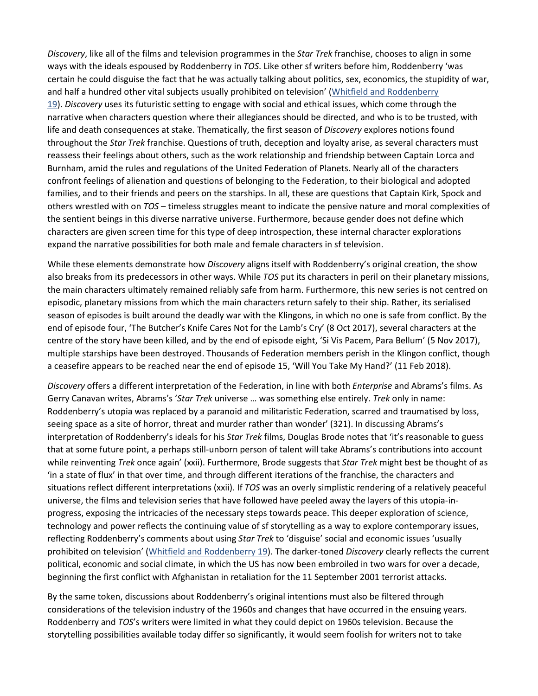*Discovery*, like all of the films and television programmes in the *Star Trek* franchise, chooses to align in some ways with the ideals espoused by Roddenberry in *TOS*. Like other sf writers before him, Roddenberry 'was certain he could disguise the fact that he was actually talking about politics, sex, economics, the stupidity of war, and half a hundred other vital subjects usually prohibited on television' (Whitfield and Roddenberry [19\)](https://0-muse-jhu-edu.libus.csd.mu.edu/article/720351#b24). *Discovery* uses its futuristic setting to engage with social and ethical issues, which come through the narrative when characters question where their allegiances should be directed, and who is to be trusted, with life and death consequences at stake. Thematically, the first season of *Discovery* explores notions found throughout the *Star Trek* franchise. Questions of truth, deception and loyalty arise, as several characters must reassess their feelings about others, such as the work relationship and friendship between Captain Lorca and Burnham, amid the rules and regulations of the United Federation of Planets. Nearly all of the characters confront feelings of alienation and questions of belonging to the Federation, to their biological and adopted families, and to their friends and peers on the starships. In all, these are questions that Captain Kirk, Spock and others wrestled with on *TOS* – timeless struggles meant to indicate the pensive nature and moral complexities of the sentient beings in this diverse narrative universe. Furthermore, because gender does not define which characters are given screen time for this type of deep introspection, these internal character explorations expand the narrative possibilities for both male and female characters in sf television.

While these elements demonstrate how *Discovery* aligns itself with Roddenberry's original creation, the show also breaks from its predecessors in other ways. While *TOS* put its characters in peril on their planetary missions, the main characters ultimately remained reliably safe from harm. Furthermore, this new series is not centred on episodic, planetary missions from which the main characters return safely to their ship. Rather, its serialised season of episodes is built around the deadly war with the Klingons, in which no one is safe from conflict. By the end of episode four, 'The Butcher's Knife Cares Not for the Lamb's Cry' (8 Oct 2017), several characters at the centre of the story have been killed, and by the end of episode eight, 'Si Vis Pacem, Para Bellum' (5 Nov 2017), multiple starships have been destroyed. Thousands of Federation members perish in the Klingon conflict, though a ceasefire appears to be reached near the end of episode 15, 'Will You Take My Hand?' (11 Feb 2018).

*Discovery* offers a different interpretation of the Federation, in line with both *Enterprise* and Abrams's films. As Gerry Canavan writes, Abrams's '*Star Trek* universe … was something else entirely. *Trek* only in name: Roddenberry's utopia was replaced by a paranoid and militaristic Federation, scarred and traumatised by loss, seeing space as a site of horror, threat and murder rather than wonder' (321). In discussing Abrams's interpretation of Roddenberry's ideals for his *Star Trek* films, Douglas Brode notes that 'it's reasonable to guess that at some future point, a perhaps still-unborn person of talent will take Abrams's contributions into account while reinventing *Trek* once again' (xxii). Furthermore, Brode suggests that *Star Trek* might best be thought of as 'in a state of flux' in that over time, and through different iterations of the franchise, the characters and situations reflect different interpretations (xxii). If *TOS* was an overly simplistic rendering of a relatively peaceful universe, the films and television series that have followed have peeled away the layers of this utopia-inprogress, exposing the intricacies of the necessary steps towards peace. This deeper exploration of science, technology and power reflects the continuing value of sf storytelling as a way to explore contemporary issues, reflecting Roddenberry's comments about using *Star Trek* to 'disguise' social and economic issues 'usually prohibited on television' [\(Whitfield and Roddenberry 19\)](https://0-muse-jhu-edu.libus.csd.mu.edu/article/720351#b24). The darker-toned *Discovery* clearly reflects the current political, economic and social climate, in which the US has now been embroiled in two wars for over a decade, beginning the first conflict with Afghanistan in retaliation for the 11 September 2001 terrorist attacks.

By the same token, discussions about Roddenberry's original intentions must also be filtered through considerations of the television industry of the 1960s and changes that have occurred in the ensuing years. Roddenberry and *TOS*'s writers were limited in what they could depict on 1960s television. Because the storytelling possibilities available today differ so significantly, it would seem foolish for writers not to take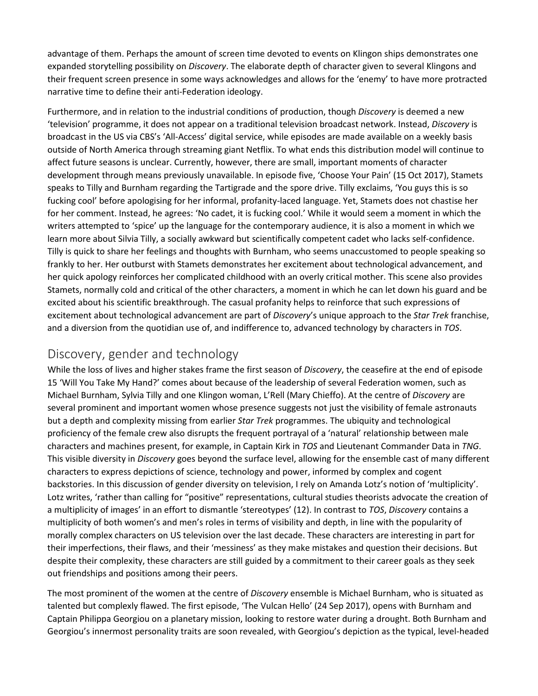advantage of them. Perhaps the amount of screen time devoted to events on Klingon ships demonstrates one expanded storytelling possibility on *Discovery*. The elaborate depth of character given to several Klingons and their frequent screen presence in some ways acknowledges and allows for the 'enemy' to have more protracted narrative time to define their anti-Federation ideology.

Furthermore, and in relation to the industrial conditions of production, though *Discovery* is deemed a new 'television' programme, it does not appear on a traditional television broadcast network. Instead, *Discovery* is broadcast in the US via CBS's 'All-Access' digital service, while episodes are made available on a weekly basis outside of North America through streaming giant Netflix. To what ends this distribution model will continue to affect future seasons is unclear. Currently, however, there are small, important moments of character development through means previously unavailable. In episode five, 'Choose Your Pain' (15 Oct 2017), Stamets speaks to Tilly and Burnham regarding the Tartigrade and the spore drive. Tilly exclaims, 'You guys this is so fucking cool' before apologising for her informal, profanity-laced language. Yet, Stamets does not chastise her for her comment. Instead, he agrees: 'No cadet, it is fucking cool.' While it would seem a moment in which the writers attempted to 'spice' up the language for the contemporary audience, it is also a moment in which we learn more about Silvia Tilly, a socially awkward but scientifically competent cadet who lacks self-confidence. Tilly is quick to share her feelings and thoughts with Burnham, who seems unaccustomed to people speaking so frankly to her. Her outburst with Stamets demonstrates her excitement about technological advancement, and her quick apology reinforces her complicated childhood with an overly critical mother. This scene also provides Stamets, normally cold and critical of the other characters, a moment in which he can let down his guard and be excited about his scientific breakthrough. The casual profanity helps to reinforce that such expressions of excitement about technological advancement are part of *Discovery*'s unique approach to the *Star Trek* franchise, and a diversion from the quotidian use of, and indifference to, advanced technology by characters in *TOS*.

#### Discovery, gender and technology

While the loss of lives and higher stakes frame the first season of *Discovery*, the ceasefire at the end of episode 15 'Will You Take My Hand?' comes about because of the leadership of several Federation women, such as Michael Burnham, Sylvia Tilly and one Klingon woman, L'Rell (Mary Chieffo). At the centre of *Discovery* are several prominent and important women whose presence suggests not just the visibility of female astronauts but a depth and complexity missing from earlier *Star Trek* programmes. The ubiquity and technological proficiency of the female crew also disrupts the frequent portrayal of a 'natural' relationship between male characters and machines present, for example, in Captain Kirk in *TOS* and Lieutenant Commander Data in *TNG*. This visible diversity in *Discovery* goes beyond the surface level, allowing for the ensemble cast of many different characters to express depictions of science, technology and power, informed by complex and cogent backstories. In this discussion of gender diversity on television, I rely on Amanda Lotz's notion of 'multiplicity'. Lotz writes, 'rather than calling for "positive" representations, cultural studies theorists advocate the creation of a multiplicity of images' in an effort to dismantle 'stereotypes' (12). In contrast to *TOS*, *Discovery* contains a multiplicity of both women's and men's roles in terms of visibility and depth, in line with the popularity of morally complex characters on US television over the last decade. These characters are interesting in part for their imperfections, their flaws, and their 'messiness' as they make mistakes and question their decisions. But despite their complexity, these characters are still guided by a commitment to their career goals as they seek out friendships and positions among their peers.

The most prominent of the women at the centre of *Discovery* ensemble is Michael Burnham, who is situated as talented but complexly flawed. The first episode, 'The Vulcan Hello' (24 Sep 2017), opens with Burnham and Captain Philippa Georgiou on a planetary mission, looking to restore water during a drought. Both Burnham and Georgiou's innermost personality traits are soon revealed, with Georgiou's depiction as the typical, level-headed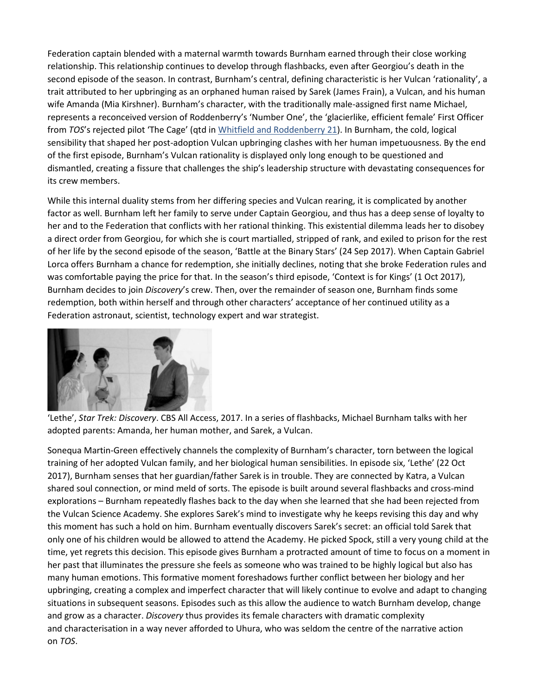Federation captain blended with a maternal warmth towards Burnham earned through their close working relationship. This relationship continues to develop through flashbacks, even after Georgiou's death in the second episode of the season. In contrast, Burnham's central, defining characteristic is her Vulcan 'rationality', a trait attributed to her upbringing as an orphaned human raised by Sarek (James Frain), a Vulcan, and his human wife Amanda (Mia Kirshner). Burnham's character, with the traditionally male-assigned first name Michael, represents a reconceived version of Roddenberry's 'Number One', the 'glacierlike, efficient female' First Officer from *TOS*'s rejected pilot 'The Cage' (qtd in [Whitfield and Roddenberry 21\)](https://0-muse-jhu-edu.libus.csd.mu.edu/article/720351#b24). In Burnham, the cold, logical sensibility that shaped her post-adoption Vulcan upbringing clashes with her human impetuousness. By the end of the first episode, Burnham's Vulcan rationality is displayed only long enough to be questioned and dismantled, creating a fissure that challenges the ship's leadership structure with devastating consequences for its crew members.

While this internal duality stems from her differing species and Vulcan rearing, it is complicated by another factor as well. Burnham left her family to serve under Captain Georgiou, and thus has a deep sense of loyalty to her and to the Federation that conflicts with her rational thinking. This existential dilemma leads her to disobey a direct order from Georgiou, for which she is court martialled, stripped of rank, and exiled to prison for the rest of her life by the second episode of the season, 'Battle at the Binary Stars' (24 Sep 2017). When Captain Gabriel Lorca offers Burnham a chance for redemption, she initially declines, noting that she broke Federation rules and was comfortable paying the price for that. In the season's third episode, 'Context is for Kings' (1 Oct 2017), Burnham decides to join *Discovery*'s crew. Then, over the remainder of season one, Burnham finds some redemption, both within herself and through other characters' acceptance of her continued utility as a Federation astronaut, scientist, technology expert and war strategist.



'Lethe', *Star Trek: Discovery*. CBS All Access, 2017. In a series of flashbacks, Michael Burnham talks with her adopted parents: Amanda, her human mother, and Sarek, a Vulcan.

Sonequa Martin-Green effectively channels the complexity of Burnham's character, torn between the logical training of her adopted Vulcan family, and her biological human sensibilities. In episode six, 'Lethe' (22 Oct 2017), Burnham senses that her guardian/father Sarek is in trouble. They are connected by Katra, a Vulcan shared soul connection, or mind meld of sorts. The episode is built around several flashbacks and cross-mind explorations – Burnham repeatedly flashes back to the day when she learned that she had been rejected from the Vulcan Science Academy. She explores Sarek's mind to investigate why he keeps revising this day and why this moment has such a hold on him. Burnham eventually discovers Sarek's secret: an official told Sarek that only one of his children would be allowed to attend the Academy. He picked Spock, still a very young child at the time, yet regrets this decision. This episode gives Burnham a protracted amount of time to focus on a moment in her past that illuminates the pressure she feels as someone who was trained to be highly logical but also has many human emotions. This formative moment foreshadows further conflict between her biology and her upbringing, creating a complex and imperfect character that will likely continue to evolve and adapt to changing situations in subsequent seasons. Episodes such as this allow the audience to watch Burnham develop, change and grow as a character. *Discovery* thus provides its female characters with dramatic complexity and characterisation in a way never afforded to Uhura, who was seldom the centre of the narrative action on *TOS*.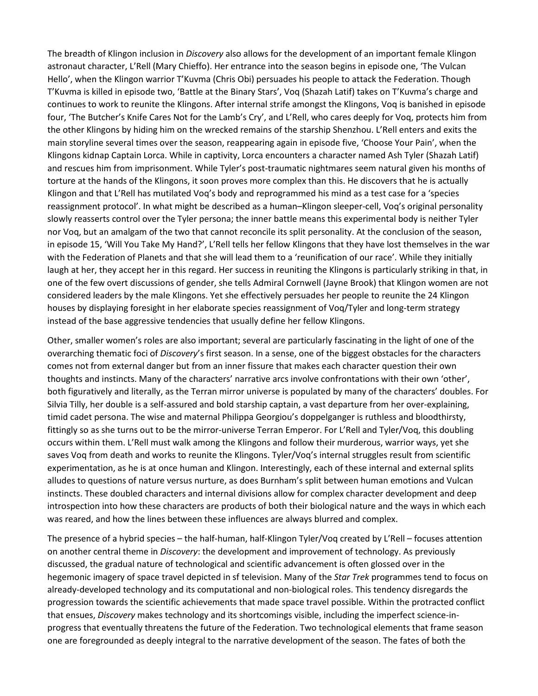The breadth of Klingon inclusion in *Discovery* also allows for the development of an important female Klingon astronaut character, L'Rell (Mary Chieffo). Her entrance into the season begins in episode one, 'The Vulcan Hello', when the Klingon warrior T'Kuvma (Chris Obi) persuades his people to attack the Federation. Though T'Kuvma is killed in episode two, 'Battle at the Binary Stars', Voq (Shazah Latif) takes on T'Kuvma's charge and continues to work to reunite the Klingons. After internal strife amongst the Klingons, Voq is banished in episode four, 'The Butcher's Knife Cares Not for the Lamb's Cry', and L'Rell, who cares deeply for Voq, protects him from the other Klingons by hiding him on the wrecked remains of the starship Shenzhou. L'Rell enters and exits the main storyline several times over the season, reappearing again in episode five, 'Choose Your Pain', when the Klingons kidnap Captain Lorca. While in captivity, Lorca encounters a character named Ash Tyler (Shazah Latif) and rescues him from imprisonment. While Tyler's post-traumatic nightmares seem natural given his months of torture at the hands of the Klingons, it soon proves more complex than this. He discovers that he is actually Klingon and that L'Rell has mutilated Voq's body and reprogrammed his mind as a test case for a 'species reassignment protocol'. In what might be described as a human–Klingon sleeper-cell, Voq's original personality slowly reasserts control over the Tyler persona; the inner battle means this experimental body is neither Tyler nor Voq, but an amalgam of the two that cannot reconcile its split personality. At the conclusion of the season, in episode 15, 'Will You Take My Hand?', L'Rell tells her fellow Klingons that they have lost themselves in the war with the Federation of Planets and that she will lead them to a 'reunification of our race'. While they initially laugh at her, they accept her in this regard. Her success in reuniting the Klingons is particularly striking in that, in one of the few overt discussions of gender, she tells Admiral Cornwell (Jayne Brook) that Klingon women are not considered leaders by the male Klingons. Yet she effectively persuades her people to reunite the 24 Klingon houses by displaying foresight in her elaborate species reassignment of Voq/Tyler and long-term strategy instead of the base aggressive tendencies that usually define her fellow Klingons.

Other, smaller women's roles are also important; several are particularly fascinating in the light of one of the overarching thematic foci of *Discovery*'s first season. In a sense, one of the biggest obstacles for the characters comes not from external danger but from an inner fissure that makes each character question their own thoughts and instincts. Many of the characters' narrative arcs involve confrontations with their own 'other', both figuratively and literally, as the Terran mirror universe is populated by many of the characters' doubles. For Silvia Tilly, her double is a self-assured and bold starship captain, a vast departure from her over-explaining, timid cadet persona. The wise and maternal Philippa Georgiou's doppelganger is ruthless and bloodthirsty, fittingly so as she turns out to be the mirror-universe Terran Emperor. For L'Rell and Tyler/Voq, this doubling occurs within them. L'Rell must walk among the Klingons and follow their murderous, warrior ways, yet she saves Voq from death and works to reunite the Klingons. Tyler/Voq's internal struggles result from scientific experimentation, as he is at once human and Klingon. Interestingly, each of these internal and external splits alludes to questions of nature versus nurture, as does Burnham's split between human emotions and Vulcan instincts. These doubled characters and internal divisions allow for complex character development and deep introspection into how these characters are products of both their biological nature and the ways in which each was reared, and how the lines between these influences are always blurred and complex.

The presence of a hybrid species – the half-human, half-Klingon Tyler/Voq created by L'Rell – focuses attention on another central theme in *Discovery*: the development and improvement of technology. As previously discussed, the gradual nature of technological and scientific advancement is often glossed over in the hegemonic imagery of space travel depicted in sf television. Many of the *Star Trek* programmes tend to focus on already-developed technology and its computational and non-biological roles. This tendency disregards the progression towards the scientific achievements that made space travel possible. Within the protracted conflict that ensues, *Discovery* makes technology and its shortcomings visible, including the imperfect science-inprogress that eventually threatens the future of the Federation. Two technological elements that frame season one are foregrounded as deeply integral to the narrative development of the season. The fates of both the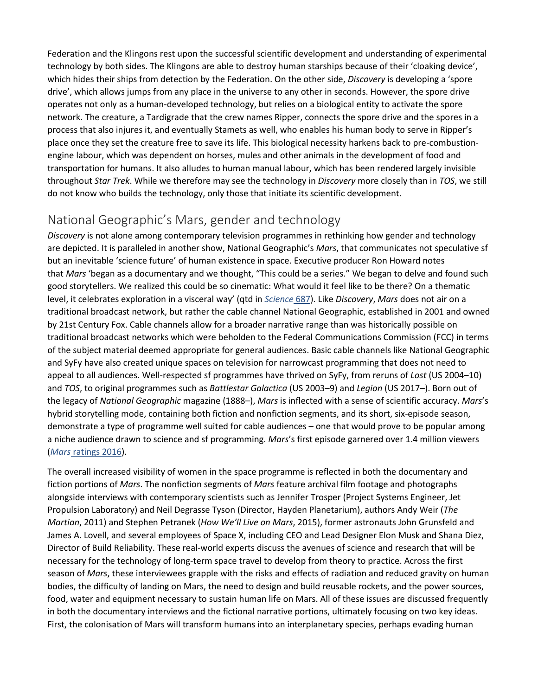Federation and the Klingons rest upon the successful scientific development and understanding of experimental technology by both sides. The Klingons are able to destroy human starships because of their 'cloaking device', which hides their ships from detection by the Federation. On the other side, *Discovery* is developing a 'spore drive', which allows jumps from any place in the universe to any other in seconds. However, the spore drive operates not only as a human-developed technology, but relies on a biological entity to activate the spore network. The creature, a Tardigrade that the crew names Ripper, connects the spore drive and the spores in a process that also injures it, and eventually Stamets as well, who enables his human body to serve in Ripper's place once they set the creature free to save its life. This biological necessity harkens back to pre-combustionengine labour, which was dependent on horses, mules and other animals in the development of food and transportation for humans. It also alludes to human manual labour, which has been rendered largely invisible throughout *Star Trek*. While we therefore may see the technology in *Discovery* more closely than in *TOS*, we still do not know who builds the technology, only those that initiate its scientific development.

## National Geographic's Mars, gender and technology

*Discovery* is not alone among contemporary television programmes in rethinking how gender and technology are depicted. It is paralleled in another show, National Geographic's *Mars*, that communicates not speculative sf but an inevitable 'science future' of human existence in space. Executive producer Ron Howard notes that *Mars* 'began as a documentary and we thought, "This could be a series." We began to delve and found such good storytellers. We realized this could be so cinematic: What would it feel like to be there? On a thematic level, it celebrates exploration in a visceral way' (qtd in *[Science](https://0-muse-jhu-edu.libus.csd.mu.edu/article/720351#b17)* 687). Like *Discovery*, *Mars* does not air on a traditional broadcast network, but rather the cable channel National Geographic, established in 2001 and owned by 21st Century Fox. Cable channels allow for a broader narrative range than was historically possible on traditional broadcast networks which were beholden to the Federal Communications Commission (FCC) in terms of the subject material deemed appropriate for general audiences. Basic cable channels like National Geographic and SyFy have also created unique spaces on television for narrowcast programming that does not need to appeal to all audiences. Well-respected sf programmes have thrived on SyFy, from reruns of *Lost* (US 2004–10) and *TOS*, to original programmes such as *Battlestar Galactica* (US 2003–9) and *Legion* (US 2017–). Born out of the legacy of *National Geographic* magazine (1888–), *Mars* is inflected with a sense of scientific accuracy. *Mars*'s hybrid storytelling mode, containing both fiction and nonfiction segments, and its short, six-episode season, demonstrate a type of programme well suited for cable audiences – one that would prove to be popular among a niche audience drawn to science and sf programming. *Mars*'s first episode garnered over 1.4 million viewers (*Mars* [ratings 2016\)](https://0-muse-jhu-edu.libus.csd.mu.edu/article/720351#b15).

The overall increased visibility of women in the space programme is reflected in both the documentary and fiction portions of *Mars*. The nonfiction segments of *Mars* feature archival film footage and photographs alongside interviews with contemporary scientists such as Jennifer Trosper (Project Systems Engineer, Jet Propulsion Laboratory) and Neil Degrasse Tyson (Director, Hayden Planetarium), authors Andy Weir (*The Martian*, 2011) and Stephen Petranek (*How We'll Live on Mars*, 2015), former astronauts John Grunsfeld and James A. Lovell, and several employees of Space X, including CEO and Lead Designer Elon Musk and Shana Diez, Director of Build Reliability. These real-world experts discuss the avenues of science and research that will be necessary for the technology of long-term space travel to develop from theory to practice. Across the first season of *Mars*, these interviewees grapple with the risks and effects of radiation and reduced gravity on human bodies, the difficulty of landing on Mars, the need to design and build reusable rockets, and the power sources, food, water and equipment necessary to sustain human life on Mars. All of these issues are discussed frequently in both the documentary interviews and the fictional narrative portions, ultimately focusing on two key ideas. First, the colonisation of Mars will transform humans into an interplanetary species, perhaps evading human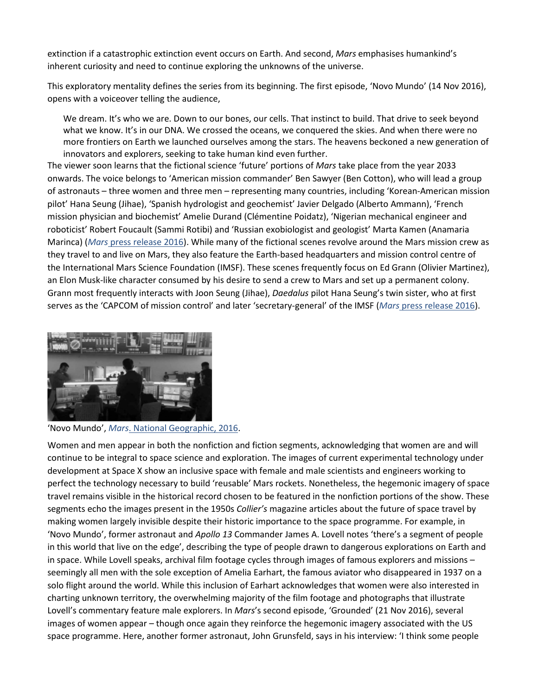extinction if a catastrophic extinction event occurs on Earth. And second, *Mars* emphasises humankind's inherent curiosity and need to continue exploring the unknowns of the universe.

This exploratory mentality defines the series from its beginning. The first episode, 'Novo Mundo' (14 Nov 2016), opens with a voiceover telling the audience,

We dream. It's who we are. Down to our bones, our cells. That instinct to build. That drive to seek beyond what we know. It's in our DNA. We crossed the oceans, we conquered the skies. And when there were no more frontiers on Earth we launched ourselves among the stars. The heavens beckoned a new generation of innovators and explorers, seeking to take human kind even further.

The viewer soon learns that the fictional science 'future' portions of *Mars* take place from the year 2033 onwards. The voice belongs to 'American mission commander' Ben Sawyer (Ben Cotton), who will lead a group of astronauts – three women and three men – representing many countries, including 'Korean-American mission pilot' Hana Seung (Jihae), 'Spanish hydrologist and geochemist' Javier Delgado (Alberto Ammann), 'French mission physician and biochemist' Amelie Durand (Clémentine Poidatz), 'Nigerian mechanical engineer and roboticist' Robert Foucault (Sammi Rotibi) and 'Russian exobiologist and geologist' Marta Kamen (Anamaria Marinca) (*Mars* [press release 2016\)](https://0-muse-jhu-edu.libus.csd.mu.edu/article/720351#b15). While many of the fictional scenes revolve around the Mars mission crew as they travel to and live on Mars, they also feature the Earth-based headquarters and mission control centre of the International Mars Science Foundation (IMSF). These scenes frequently focus on Ed Grann (Olivier Martinez), an Elon Musk-like character consumed by his desire to send a crew to Mars and set up a permanent colony. Grann most frequently interacts with Joon Seung (Jihae), *Daedalus* pilot Hana Seung's twin sister, who at first serves as the 'CAPCOM of mission control' and later 'secretary-general' of the IMSF (*Mars* [press release 2016\)](https://0-muse-jhu-edu.libus.csd.mu.edu/article/720351#b15).



'Novo Mundo', *Mars*[. National Geographic, 2016.](https://0-muse-jhu-edu.libus.csd.mu.edu/article/720351#b15)

Women and men appear in both the nonfiction and fiction segments, acknowledging that women are and will continue to be integral to space science and exploration. The images of current experimental technology under development at Space X show an inclusive space with female and male scientists and engineers working to perfect the technology necessary to build 'reusable' Mars rockets. Nonetheless, the hegemonic imagery of space travel remains visible in the historical record chosen to be featured in the nonfiction portions of the show. These segments echo the images present in the 1950s *Collier's* magazine articles about the future of space travel by making women largely invisible despite their historic importance to the space programme. For example, in 'Novo Mundo', former astronaut and *Apollo 13* Commander James A. Lovell notes 'there's a segment of people in this world that live on the edge', describing the type of people drawn to dangerous explorations on Earth and in space. While Lovell speaks, archival film footage cycles through images of famous explorers and missions – seemingly all men with the sole exception of Amelia Earhart, the famous aviator who disappeared in 1937 on a solo flight around the world. While this inclusion of Earhart acknowledges that women were also interested in charting unknown territory, the overwhelming majority of the film footage and photographs that illustrate Lovell's commentary feature male explorers. In *Mars*'s second episode, 'Grounded' (21 Nov 2016), several images of women appear – though once again they reinforce the hegemonic imagery associated with the US space programme. Here, another former astronaut, John Grunsfeld, says in his interview: 'I think some people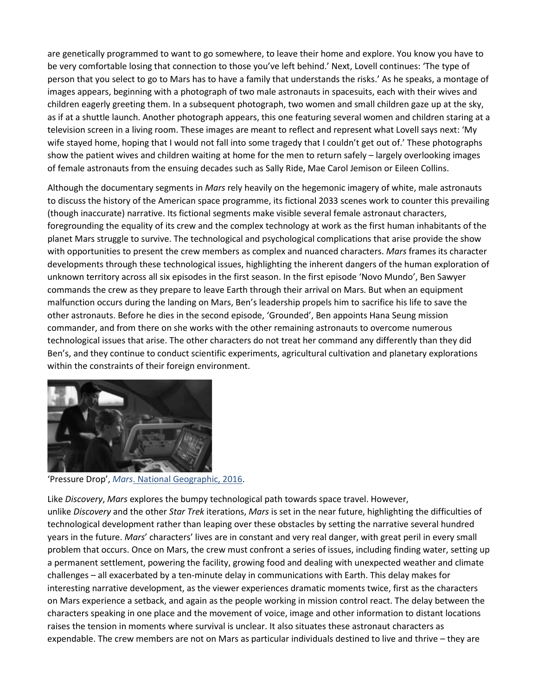are genetically programmed to want to go somewhere, to leave their home and explore. You know you have to be very comfortable losing that connection to those you've left behind.' Next, Lovell continues: 'The type of person that you select to go to Mars has to have a family that understands the risks.' As he speaks, a montage of images appears, beginning with a photograph of two male astronauts in spacesuits, each with their wives and children eagerly greeting them. In a subsequent photograph, two women and small children gaze up at the sky, as if at a shuttle launch. Another photograph appears, this one featuring several women and children staring at a television screen in a living room. These images are meant to reflect and represent what Lovell says next: 'My wife stayed home, hoping that I would not fall into some tragedy that I couldn't get out of.' These photographs show the patient wives and children waiting at home for the men to return safely – largely overlooking images of female astronauts from the ensuing decades such as Sally Ride, Mae Carol Jemison or Eileen Collins.

Although the documentary segments in *Mars* rely heavily on the hegemonic imagery of white, male astronauts to discuss the history of the American space programme, its fictional 2033 scenes work to counter this prevailing (though inaccurate) narrative. Its fictional segments make visible several female astronaut characters, foregrounding the equality of its crew and the complex technology at work as the first human inhabitants of the planet Mars struggle to survive. The technological and psychological complications that arise provide the show with opportunities to present the crew members as complex and nuanced characters. *Mars* frames its character developments through these technological issues, highlighting the inherent dangers of the human exploration of unknown territory across all six episodes in the first season. In the first episode 'Novo Mundo', Ben Sawyer commands the crew as they prepare to leave Earth through their arrival on Mars. But when an equipment malfunction occurs during the landing on Mars, Ben's leadership propels him to sacrifice his life to save the other astronauts. Before he dies in the second episode, 'Grounded', Ben appoints Hana Seung mission commander, and from there on she works with the other remaining astronauts to overcome numerous technological issues that arise. The other characters do not treat her command any differently than they did Ben's, and they continue to conduct scientific experiments, agricultural cultivation and planetary explorations within the constraints of their foreign environment.



'Pressure Drop', *Mars*[. National Geographic, 2016.](https://0-muse-jhu-edu.libus.csd.mu.edu/article/720351#b15)

Like *Discovery*, *Mars* explores the bumpy technological path towards space travel. However, unlike *Discovery* and the other *Star Trek* iterations, *Mars* is set in the near future, highlighting the difficulties of technological development rather than leaping over these obstacles by setting the narrative several hundred years in the future. *Mars*' characters' lives are in constant and very real danger, with great peril in every small problem that occurs. Once on Mars, the crew must confront a series of issues, including finding water, setting up a permanent settlement, powering the facility, growing food and dealing with unexpected weather and climate challenges – all exacerbated by a ten-minute delay in communications with Earth. This delay makes for interesting narrative development, as the viewer experiences dramatic moments twice, first as the characters on Mars experience a setback, and again as the people working in mission control react. The delay between the characters speaking in one place and the movement of voice, image and other information to distant locations raises the tension in moments where survival is unclear. It also situates these astronaut characters as expendable. The crew members are not on Mars as particular individuals destined to live and thrive – they are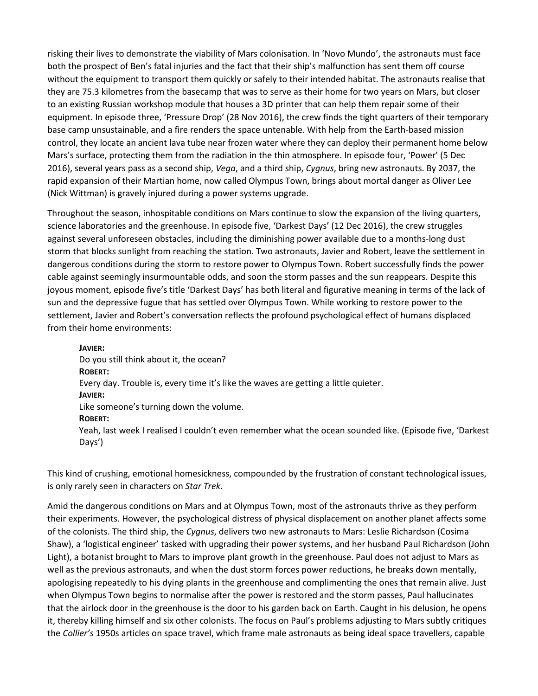risking their lives to demonstrate the viability of Mars colonisation. In 'Novo Mundo', the astronauts must face both the prospect of Ben's fatal injuries and the fact that their ship's malfunction has sent them off course without the equipment to transport them quickly or safely to their intended habitat. The astronauts realise that they are 75.3 kilometres from the basecamp that was to serve as their home for two years on Mars, but closer to an existing Russian workshop module that houses a 3D printer that can help them repair some of their equipment. In episode three, 'Pressure Drop' (28 Nov 2016), the crew finds the tight quarters of their temporary base camp unsustainable, and a fire renders the space untenable. With help from the Earth-based mission control, they locate an ancient lava tube near frozen water where they can deploy their permanent home below Mars's surface, protecting them from the radiation in the thin atmosphere. In episode four, 'Power' (5 Dec 2016), several years pass as a second ship, *Vega*, and a third ship, *Cygnus*, bring new astronauts. By 2037, the rapid expansion of their Martian home, now called Olympus Town, brings about mortal danger as Oliver Lee (Nick Wittman) is gravely injured during a power systems upgrade.

Throughout the season, inhospitable conditions on Mars continue to slow the expansion of the living quarters, science laboratories and the greenhouse. In episode five, 'Darkest Days' (12 Dec 2016), the crew struggles against several unforeseen obstacles, including the diminishing power available due to a months-long dust storm that blocks sunlight from reaching the station. Two astronauts, Javier and Robert, leave the settlement in dangerous conditions during the storm to restore power to Olympus Town. Robert successfully finds the power cable against seemingly insurmountable odds, and soon the storm passes and the sun reappears. Despite this joyous moment, episode five's title 'Darkest Days' has both literal and figurative meaning in terms of the lack of sun and the depressive fugue that has settled over Olympus Town. While working to restore power to the settlement, Javier and Robert's conversation reflects the profound psychological effect of humans displaced from their home environments:

**JAVIER:** Do you still think about it, the ocean? **ROBERT:** Every day. Trouble is, every time it's like the waves are getting a little quieter. **JAVIER:** Like someone's turning down the volume. **ROBERT:** Yeah, last week I realised I couldn't even remember what the ocean sounded like. (Episode five, 'Darkest Days')

This kind of crushing, emotional homesickness, compounded by the frustration of constant technological issues, is only rarely seen in characters on *Star Trek*.

Amid the dangerous conditions on Mars and at Olympus Town, most of the astronauts thrive as they perform their experiments. However, the psychological distress of physical displacement on another planet affects some of the colonists. The third ship, the *Cygnus*, delivers two new astronauts to Mars: Leslie Richardson (Cosima Shaw), a 'logistical engineer' tasked with upgrading their power systems, and her husband Paul Richardson (John Light), a botanist brought to Mars to improve plant growth in the greenhouse. Paul does not adjust to Mars as well as the previous astronauts, and when the dust storm forces power reductions, he breaks down mentally, apologising repeatedly to his dying plants in the greenhouse and complimenting the ones that remain alive. Just when Olympus Town begins to normalise after the power is restored and the storm passes, Paul hallucinates that the airlock door in the greenhouse is the door to his garden back on Earth. Caught in his delusion, he opens it, thereby killing himself and six other colonists. The focus on Paul's problems adjusting to Mars subtly critiques the *Collier's* 1950s articles on space travel, which frame male astronauts as being ideal space travellers, capable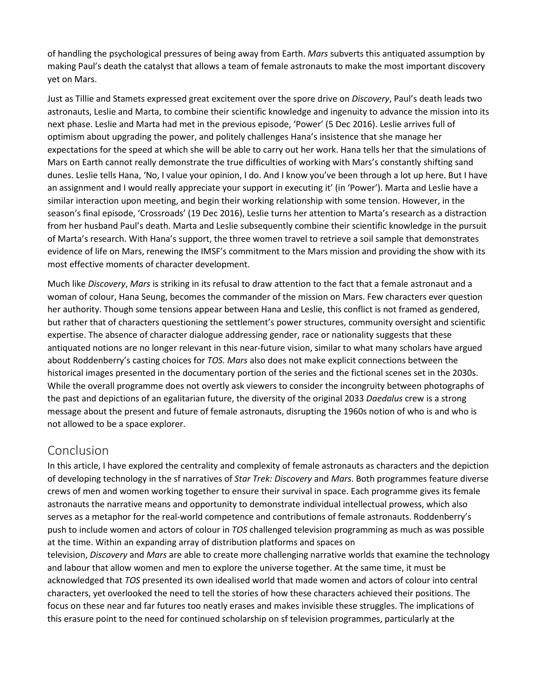of handling the psychological pressures of being away from Earth. *Mars* subverts this antiquated assumption by making Paul's death the catalyst that allows a team of female astronauts to make the most important discovery yet on Mars.

Just as Tillie and Stamets expressed great excitement over the spore drive on *Discovery*, Paul's death leads two astronauts, Leslie and Marta, to combine their scientific knowledge and ingenuity to advance the mission into its next phase. Leslie and Marta had met in the previous episode, 'Power' (5 Dec 2016). Leslie arrives full of optimism about upgrading the power, and politely challenges Hana's insistence that she manage her expectations for the speed at which she will be able to carry out her work. Hana tells her that the simulations of Mars on Earth cannot really demonstrate the true difficulties of working with Mars's constantly shifting sand dunes. Leslie tells Hana, 'No, I value your opinion, I do. And I know you've been through a lot up here. But I have an assignment and I would really appreciate your support in executing it' (in 'Power'). Marta and Leslie have a similar interaction upon meeting, and begin their working relationship with some tension. However, in the season's final episode, 'Crossroads' (19 Dec 2016), Leslie turns her attention to Marta's research as a distraction from her husband Paul's death. Marta and Leslie subsequently combine their scientific knowledge in the pursuit of Marta's research. With Hana's support, the three women travel to retrieve a soil sample that demonstrates evidence of life on Mars, renewing the IMSF's commitment to the Mars mission and providing the show with its most effective moments of character development.

Much like *Discovery*, *Mars* is striking in its refusal to draw attention to the fact that a female astronaut and a woman of colour, Hana Seung, becomes the commander of the mission on Mars. Few characters ever question her authority. Though some tensions appear between Hana and Leslie, this conflict is not framed as gendered, but rather that of characters questioning the settlement's power structures, community oversight and scientific expertise. The absence of character dialogue addressing gender, race or nationality suggests that these antiquated notions are no longer relevant in this near-future vision, similar to what many scholars have argued about Roddenberry's casting choices for *TOS. Mars* also does not make explicit connections between the historical images presented in the documentary portion of the series and the fictional scenes set in the 2030s. While the overall programme does not overtly ask viewers to consider the incongruity between photographs of the past and depictions of an egalitarian future, the diversity of the original 2033 *Daedalus* crew is a strong message about the present and future of female astronauts, disrupting the 1960s notion of who is and who is not allowed to be a space explorer.

## Conclusion

In this article, I have explored the centrality and complexity of female astronauts as characters and the depiction of developing technology in the sf narratives of *Star Trek: Discovery* and *Mars*. Both programmes feature diverse crews of men and women working together to ensure their survival in space. Each programme gives its female astronauts the narrative means and opportunity to demonstrate individual intellectual prowess, which also serves as a metaphor for the real-world competence and contributions of female astronauts. Roddenberry's push to include women and actors of colour in *TOS* challenged television programming as much as was possible at the time. Within an expanding array of distribution platforms and spaces on

television, *Discovery* and *Mars* are able to create more challenging narrative worlds that examine the technology and labour that allow women and men to explore the universe together. At the same time, it must be acknowledged that *TOS* presented its own idealised world that made women and actors of colour into central characters, yet overlooked the need to tell the stories of how these characters achieved their positions. The focus on these near and far futures too neatly erases and makes invisible these struggles. The implications of this erasure point to the need for continued scholarship on sf television programmes, particularly at the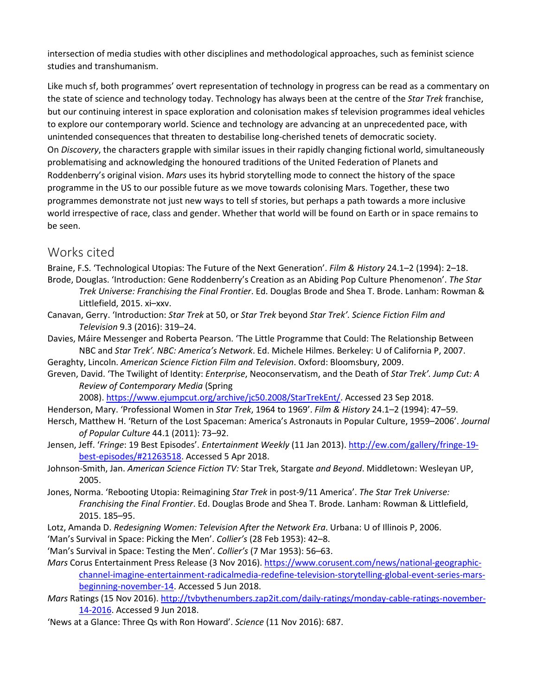intersection of media studies with other disciplines and methodological approaches, such as feminist science studies and transhumanism.

Like much sf, both programmes' overt representation of technology in progress can be read as a commentary on the state of science and technology today. Technology has always been at the centre of the *Star Trek* franchise, but our continuing interest in space exploration and colonisation makes sf television programmes ideal vehicles to explore our contemporary world. Science and technology are advancing at an unprecedented pace, with unintended consequences that threaten to destabilise long-cherished tenets of democratic society. On *Discovery*, the characters grapple with similar issues in their rapidly changing fictional world, simultaneously problematising and acknowledging the honoured traditions of the United Federation of Planets and Roddenberry's original vision. *Mars* uses its hybrid storytelling mode to connect the history of the space programme in the US to our possible future as we move towards colonising Mars. Together, these two programmes demonstrate not just new ways to tell sf stories, but perhaps a path towards a more inclusive world irrespective of race, class and gender. Whether that world will be found on Earth or in space remains to be seen.

#### Works cited

Braine, F.S. 'Technological Utopias: The Future of the Next Generation'. *Film & History* 24.1–2 (1994): 2–18. Brode, Douglas. 'Introduction: Gene Roddenberry's Creation as an Abiding Pop Culture Phenomenon'. *The Star* 

- *Trek Universe: Franchising the Final Frontier*. Ed. Douglas Brode and Shea T. Brode. Lanham: Rowman & Littlefield, 2015. xi–xxv.
- Canavan, Gerry. 'Introduction: *Star Trek* at 50, or *Star Trek* beyond *Star Trek'. Science Fiction Film and Television* 9.3 (2016): 319–24.
- Davies, Máire Messenger and Roberta Pearson. 'The Little Programme that Could: The Relationship Between NBC and *Star Trek'. NBC: America's Network*. Ed. Michele Hilmes. Berkeley: U of California P, 2007.

Geraghty, Lincoln. *American Science Fiction Film and Television*. Oxford: Bloomsbury, 2009.

Greven, David. 'The Twilight of Identity: *Enterprise*, Neoconservatism, and the Death of *Star Trek'. Jump Cut: A Review of Contemporary Media* (Spring

2008). [https://www.ejumpcut.org/archive/jc50.2008/StarTrekEnt/.](https://www.ejumpcut.org/archive/jc50.2008/StarTrekEnt/) Accessed 23 Sep 2018.

- Henderson, Mary. 'Professional Women in *Star Trek*, 1964 to 1969'. *Film & History* 24.1–2 (1994): 47–59.
- Hersch, Matthew H. 'Return of the Lost Spaceman: America's Astronauts in Popular Culture, 1959–2006'. *Journal of Popular Culture* 44.1 (2011): 73–92.
- Jensen, Jeff. '*Fringe*: 19 Best Episodes'. *Entertainment Weekly* (11 Jan 2013). [http://ew.com/gallery/fringe-19](http://ew.com/gallery/fringe-19-best-episodes/#21263518) [best-episodes/#21263518.](http://ew.com/gallery/fringe-19-best-episodes/#21263518) Accessed 5 Apr 2018.
- Johnson-Smith, Jan. *American Science Fiction TV:* Star Trek, Stargate *and Beyond*. Middletown: Wesleyan UP, 2005.
- Jones, Norma. 'Rebooting Utopia: Reimagining *Star Trek* in post-9/11 America'. *The Star Trek Universe: Franchising the Final Frontier*. Ed. Douglas Brode and Shea T. Brode. Lanham: Rowman & Littlefield, 2015. 185–95.
- Lotz, Amanda D. *Redesigning Women: Television After the Network Era*. Urbana: U of Illinois P, 2006.
- 'Man's Survival in Space: Picking the Men'. *Collier's* (28 Feb 1953): 42–8.
- 'Man's Survival in Space: Testing the Men'. *Collier's* (7 Mar 1953): 56–63.
- *Mars* Corus Entertainment Press Release (3 Nov 2016). [https://www.corusent.com/news/national-geographic](https://www.corusent.com/news/national-geographic-channel-imagine-entertainment-radicalmedia-redefine-television-storytelling-global-event-series-mars-beginning-november-14)[channel-imagine-entertainment-radicalmedia-redefine-television-storytelling-global-event-series-mars](https://www.corusent.com/news/national-geographic-channel-imagine-entertainment-radicalmedia-redefine-television-storytelling-global-event-series-mars-beginning-november-14)[beginning-november-14.](https://www.corusent.com/news/national-geographic-channel-imagine-entertainment-radicalmedia-redefine-television-storytelling-global-event-series-mars-beginning-november-14) Accessed 5 Jun 2018.

*Mars* Ratings (15 Nov 2016). [http://tvbythenumbers.zap2it.com/daily-ratings/monday-cable-ratings-november-](http://tvbythenumbers.zap2it.com/daily-ratings/monday-cable-ratings-november-14-2016)[14-2016.](http://tvbythenumbers.zap2it.com/daily-ratings/monday-cable-ratings-november-14-2016) Accessed 9 Jun 2018.

'News at a Glance: Three Qs with Ron Howard'. *Science* (11 Nov 2016): 687.